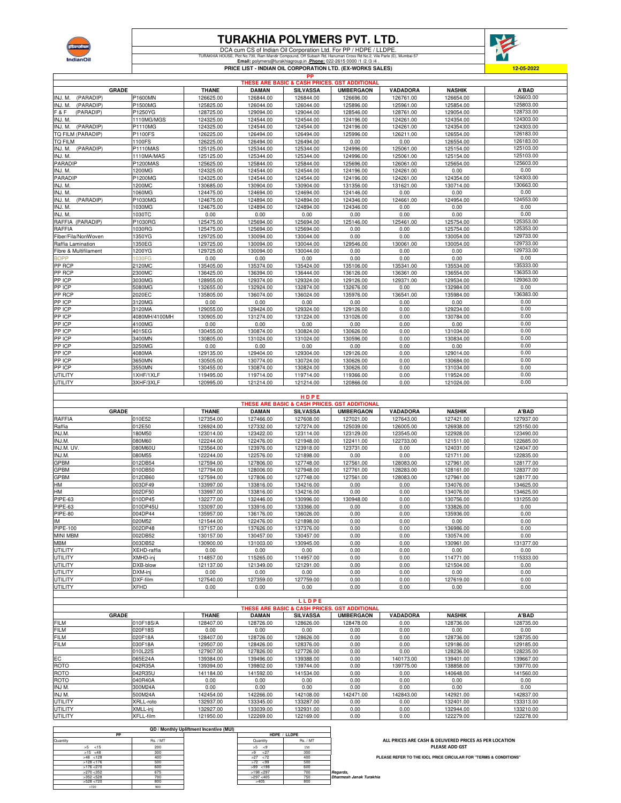

## **TURAKHIA POLYMERS PVT. LTD.**

DCA cum CS of Indian Oil Corporation Ltd. For PP / HDPE / LLDPE. TURAKHIA HOUSE, Plot No.730, Ram Mandir Compound, Off Subash Rd, Hanuman Cross Rd No.2, Vile Parle (E), Mumbai-57 **Email:** polymers@turakhiagroup.in **.Phone:** 022-2615 0000 /1 /2 /3 /4 .



**PRICE LIST - INDIAN OIL CORPORATION LTD. (EX-WORKS SALES)**

| PP                    |                 |              |              |                 |                                                          |                 |               |           |  |
|-----------------------|-----------------|--------------|--------------|-----------------|----------------------------------------------------------|-----------------|---------------|-----------|--|
|                       |                 |              |              |                 | <b>THESE ARE BASIC &amp; CASH PRICES, GST ADDITIONAL</b> |                 |               |           |  |
| <b>GRADE</b>          |                 | <b>THANE</b> | <b>DAMAN</b> | <b>SILVASSA</b> | <b>UMBERGAON</b>                                         | <b>VADADORA</b> | <b>NASHIK</b> | A'BAD     |  |
| INJ. M.<br>(PARADIP)  | P1600MN         | 126625.00    | 126844.00    | 126844.00       | 126696.00                                                | 126761.00       | 126654.00     | 126603.00 |  |
| (PARADIP)<br>INJ. M.  | P1500MG         | 125825.00    | 126044.00    | 126044.00       | 125896.00                                                | 125961.00       | 125854.00     | 125803.00 |  |
| F & F<br>(PARADIP)    | P1250YG         | 128725.00    | 129094.00    | 129044.00       | 128546.00                                                | 128761.00       | 129054.00     | 128733.00 |  |
| INJ. M.               | 1110MG/MGS      | 124325.00    | 124544.00    | 124544.00       | 124196.00                                                | 124261.00       | 124354.00     | 124303.00 |  |
| (PARADIP)<br>INJ. M.  | P1110MG         | 124325.00    | 124544.00    | 124544.00       | 124196.00                                                | 124261.00       | 124354.00     | 124303.00 |  |
| TQ FILM (PARADIP)     | P1100FS         | 126225.00    | 126494.00    | 126494.00       | 125996.00                                                | 126211.00       | 126554.00     | 126183.00 |  |
| TQ FILM               | 1100FS          | 126225.00    | 126494.00    | 126494.00       | 0.00                                                     | 0.00            | 126554.00     | 126183.00 |  |
| INJ. M. (PARADIP)     | <b>P1110MAS</b> | 125125.00    | 125344.00    | 125344.00       | 124996.00                                                | 125061.00       | 125154.00     | 125103.00 |  |
| INJ. M.               | 1110MA/MAS      | 125125.00    | 125344.00    | 125344.00       | 124996.00                                                | 125061.00       | 125154.00     | 125103.00 |  |
| PARADIP               | P1200MAS        | 125625.00    | 125844.00    | 125844.00       | 125696.00                                                | 126061.00       | 125654.00     | 125603.00 |  |
| INJ. M.               | 1200MG          | 124325.00    | 124544.00    | 124544.00       | 124196.00                                                | 124261.00       | 0.00          | 0.00      |  |
| PARADIP               | P1200MG         | 124325.00    | 124544.00    | 124544.00       | 124196.00                                                | 124261.00       | 124354.00     | 124303.00 |  |
| INJ. M.               | 1200MC          | 130685.00    | 130904.00    | 130904.00       | 131356.00                                                | 131621.00       | 130714.00     | 130663.00 |  |
| INJ. M.               | 1060MG          | 124475.00    | 124694.00    | 124694.00       | 124146.00                                                | 0.00            | 0.00          | 0.00      |  |
| (PARADIP)<br>INJ. M.  | P1030MG         | 124675.00    | 124894.00    | 124894.00       | 124346.00                                                | 124661.00       | 124954.00     | 124553.00 |  |
| INJ. M.               | 1030MG          | 124675.00    | 124894.00    | 124894.00       | 124346.00                                                | 0.00            | 0.00          | 0.00      |  |
| INJ. M.               | 1030TC          | 0.00         | 0.00         | 0.00            | 0.00                                                     | 0.00            | 0.00          | 0.00      |  |
| RAFFIA (PARADIP)      | P1030RG         | 125475.00    | 125694.00    | 125694.00       | 125146.00                                                | 125461.00       | 125754.00     | 125353.00 |  |
| RAFFIA                | 1030RG          | 125475.00    | 125694.00    | 125694.00       | 0.00                                                     | 0.00            | 125754.00     | 125353.00 |  |
| Fiber/Fila/NonWoven   | 1350YG          | 129725.00    | 130094.00    | 130044.00       | 0.00                                                     | 0.00            | 130054.00     | 129733.00 |  |
| Raffia Lamination     | 1350EG          | 129725.00    | 130094.00    | 130044.00       | 129546.00                                                | 130061.00       | 130054.00     | 129733.00 |  |
| Fibre & Multifilament | 1200YG          | 129725.00    | 130094.00    | 130044.00       | 0.00                                                     | 0.00            | 0.00          | 129733.00 |  |
| <b>BOPP</b>           | 1030FG          | 0.00         | 0.00         | 0.00            | 0.00                                                     | 0.00            | 0.00          | 0.00      |  |
| PP RCP                | 2120MC          | 135405.00    | 135374.00    | 135424.00       | 135106.00                                                | 135341.00       | 135534.00     | 135333.00 |  |
| PP RCP                | 2300MC          | 136425.00    | 136394.00    | 136444.00       | 136126.00                                                | 136361.00       | 136554.00     | 136353.00 |  |
| PP ICP                | 3030MG          | 128955.00    | 129374.00    | 129324.00       | 129126.00                                                | 129371.00       | 129534.00     | 129363.00 |  |
| PP ICP                | 5080MG          | 132655.00    | 132924.00    | 132874.00       | 132676.00                                                | 0.00            | 132984.00     | 0.00      |  |
| PP RCP                | 2020EC          | 135805.00    | 136074.00    | 136024.00       | 135976.00                                                | 136541.00       | 135984.00     | 136383.00 |  |
| PP ICP                | 3120MG          | 0.00         | 0.00         | 0.00            | 0.00                                                     | 0.00            | 0.00          | 0.00      |  |
| PP ICP                | 3120MA          | 129055.00    | 129424.00    | 129324.00       | 129126.00                                                | 0.00            | 129234.00     | 0.00      |  |
| PP ICP                | 4080MH/4100MH   | 130905.00    | 131274.00    | 131224.00       | 131026.00                                                | 0.00            | 130784.00     | 0.00      |  |
| PP ICP                | 4100MG          | 0.00         | 0.00         | 0.00            | 0.00                                                     | 0.00            | 0.00          | 0.00      |  |
| PP ICP                | 4015EG          | 130455.00    | 130874.00    | 130824.00       | 130626.00                                                | 0.00            | 131034.00     | 0.00      |  |
| PP ICP                | 3400MN          | 130805.00    | 131024.00    | 131024.00       | 130596.00                                                | 0.00            | 130834.00     | 0.00      |  |
| PP ICP                | 3250MG          | 0.00         | 0.00         | 0.00            | 0.00                                                     | 0.00            | 0.00          | 0.00      |  |
| PP ICP                | 4080MA          | 129135.00    | 129404.00    | 129304.00       | 129126.00                                                | 0.00            | 129014.00     | 0.00      |  |
| PP ICP                | 3650MN          | 130505.00    | 130774.00    | 130724.00       | 130626.00                                                | 0.00            | 130684.00     | 0.00      |  |
| PP ICP                | 3550MN          | 130455.00    | 130874.00    | 130824.00       | 130626.00                                                | 0.00            | 131034.00     | 0.00      |  |
| UTILITY               | 1XHF/1XLF       | 119495.00    | 119714.00    | 119714.00       | 119366.00                                                | 0.00            | 119524.00     | 0.00      |  |
| UTILITY               | 3XHF/3XLF       | 120995.00    | 121214.00    | 121214.00       | 120866.00                                                | 0.00            | 121024.00     | 0.00      |  |

**THANE DAMAN SILVASSA UMBERGAON VADADORA NASHIK A'BAD** RAFFIA 010E52 127354.00 127466.00 127608.00 127021.00 127643.00 127421.00 127937.00 Raffia 012E50 126924.00 127332.00 127274.00 125039.00 126005.00 126938.00 125150.00 INJ.M. 180M50 123014.00 123422.00 123114.00 123129.00 123545.00 122928.00 123490.00 INJ.M. 080M60 122244.00 122476.00 121948.00 122411.00 122733.00 121511.00 122685.00 INJ.M. UV. 080M60U 123564.00 123976.00 123918.00 123731.00 0.00 124031.00 124047.00 INJ.M. 080M55 122244.00 122576.00 121898.00 0.00 0.00 121711.00 122835.00 GPBM 012DB54 127594.00 127806.00 127748.00 127561.00 128083.00 127961.00 128177.00 GPBM 010DB50 127794.00 128006.00 127948.00 127761.00 128283.00 128161.00 128377.00 GPBM 012DB60 127594.00 127806.00 127748.00 127561.00 128083.00 127961.00 128177.00 HM 003DF49 133997.00 133816.00 134216.00 0.00 0.00 134076.00 134625.00 HM 002DF50 133997.00 133816.00 134216.00 0.00 0.00 134076.00 134625.00 PIPE-63 010DP45 132277.00 132446.00 130996.00 130948.00 0.00 130756.00 131255.00 PIPE-63 010DP45U 133097.00 133916.00 133366.00 0.00 0.00 133826.00 0.00 PIPE-80 |004DP44 | 135957.00 | 136176.00 | 136026.00 | 0.00 | 135936.00 | 0.00 IM |020M52 | 121544.00 | 122476.00 | 121898.00 | 0.00 | 0.00 | 0.00 PIPE-100 |002DP48 137157.00 | 137626.00 | 137376.00 | 0.00 | 136986.00 | 0.00 MINI MBM |002DB52 | 130157.00 | 130457.00 | 0.00 0.00 | 130574.00 | 0.00 MBM 003DB52 130900.00 131003.00 130945.00 0.00 0.00 130961.00 131377.00 UTILITY XEHD-raffia 0.00 0.00 0.00 0.00 0.00 0.00 0.00 UTILITY XMHD-inj 114857.00 115265.00 114957.00 0.00 0.00 114771.00 115333.00 UTILITY DXB-blow 121137.00 121349.00 121291.00 0.00 0.00 121504.00 0.00 UTILITY DXM-inj 0.00 0.00 0.00 0.00 0.00 0.00 0.00 UTILITY DXF-film 127540.00 127359.00 127759.00 0.00 0.00 127619.00 0.00 UTILITY XFHD 0.00 0.00 0.00 0.00 0.00 0.00 0.00 **H D P E GRADE THESE ARE B** 

|                |           |              |              | LLDPE           |                                               |                 |           |           |
|----------------|-----------|--------------|--------------|-----------------|-----------------------------------------------|-----------------|-----------|-----------|
|                |           |              |              |                 | THESE ARE BASIC & CASH PRICES. GST ADDITIONAL |                 |           |           |
| <b>GRADE</b>   |           | <b>THANE</b> | <b>DAMAN</b> | <b>SILVASSA</b> | <b>UMBERGAON</b>                              | <b>VADADORA</b> |           | A'BAD     |
| <b>FILM</b>    | 010F18S/A | 128407.00    | 128726.00    | 128626.00       | 128478.00                                     | 0.00            | 128736.00 | 128735.00 |
| <b>FILM</b>    | 020F18S   | 0.00         | 0.00         | 0.00            | 0.00                                          | 0.00            | 0.00      | 0.00      |
| <b>FILM</b>    | 020F18A   | 128407.00    | 128726.00    | 128626.00       | 0.00                                          | 0.00            | 128736.00 | 128735.00 |
| <b>FILM</b>    | 030F18A   | 129507.00    | 128426.00    | 128376.00       | 0.00                                          | 0.00            | 129186.00 | 129185.00 |
|                | 010L22S   | 127907.00    | 127826.00    | 127726.00       | 0.00                                          | 0.00            | 128236.00 | 128235.00 |
| EC             | 065E24A   | 139384.00    | 139496.00    | 139388.00       | 0.00                                          | 140173.00       | 139401.00 | 139667.00 |
| ROTO           | 042R35A   | 139394.00    | 139802.00    | 139744.00       | 0.00                                          | 139775.00       | 138858.00 | 139770.00 |
| <b>ROTO</b>    | 042R35U   | 141184.00    | 141592.00    | 141534.00       | 0.00                                          | 0.00            | 140648.00 | 141560.00 |
| <b>ROTO</b>    | 040R40A   | 0.00         | 0.00         | 0.00            | 0.00                                          | 0.00            | 0.00      | 0.00      |
| INJ M.         | 300M24A   | 0.00         | 0.00         | 0.00            | 0.00                                          | 0.00            | 0.00      | 0.00      |
| INJ M.         | 500M24A   | 142454.00    | 142266.00    | 142108.00       | 142471.00                                     | 142843.00       | 142921.00 | 142837.00 |
| UTILITY        | XRLL-roto | 132937.00    | 133345.00    | 133287.00       | 0.00                                          | 0.00            | 132401.00 | 133313.00 |
| <b>UTILITY</b> | XMLL-inj  | 132927.00    | 133039.00    | 132931.00       | 0.00                                          | 0.00            | 132944.00 | 133210.00 |
| UTILITY        | XFLL-film | 121950.00    | 122269.00    | 122169.00       | 0.00                                          | 0.00            | 122279.00 | 122278.00 |

|                         |              |              | QD / Monthly Upliftment Incentive (MUI) |    |              |  |
|-------------------------|--------------|--------------|-----------------------------------------|----|--------------|--|
|                         | HDPE / LLDPE |              |                                         | PP |              |  |
|                         | Rs. / MT     | Quantity     | Rs. / MT                                |    | Quantity     |  |
|                         | 150          | >5<br>< 9    | 200                                     |    | $>5$ < 15    |  |
|                         | 300          | >9<br>< 27   | 300                                     |    | $>15$ <48    |  |
| <b>PL</b>               | 400          | >27<br><72   | 400                                     |    | $>48$ < 128  |  |
|                         | 500          | $>72$ <99    | 500                                     |    | $>128$ < 176 |  |
|                         | 600          | $>99$ < 198  | 600                                     |    | $>176$ <270  |  |
| Regards,                | 700          | $>198$ < 297 | 675                                     |    | $>270$ < 352 |  |
| Dharmesh Janak Turakhia | 750          | $>297$ <405  | 700                                     |    | >352 < 528   |  |
|                         | 800          | >405         | 800                                     |    | >528 < 720   |  |
|                         |              |              | 900                                     |    | >720         |  |

**ALL PRICES ARE CASH & DELIVERED PRICES AS PER LOCATION PLEASE ADD GST**

**PLEASE REFER TO THE IOCL PRICE CIRCULAR FOR "TERMS & CONDITIONS"**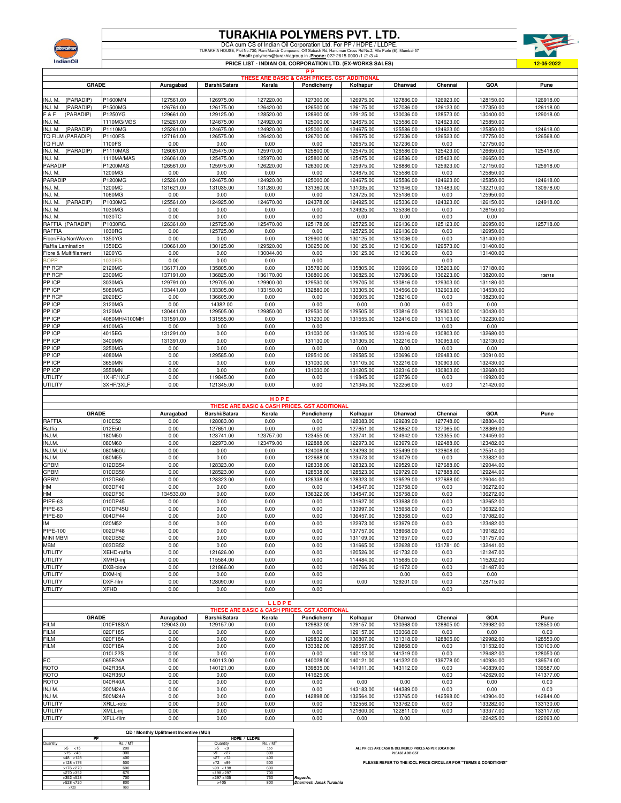

TURAKHIA POLYMERS PVT. LTD.<br>DCA cum CS of Indian Oil Corporation Ltd. For PP / HDPE / LLDPE.<br>TURAKHIA HOUSE, PIG No.730, Ram Mandi Compound, Of Subash Ru Hamuman Cross Falm Mandi Compound.<br>Email: popmers@lurakhiagroup.in .



|                                 |                       |                        |                        |                                               | <b>PP</b>              | PRICE LIST - INDIAN OIL CORPORATION LTD. (EX-WORKS SALES) |                        |                        |                        | <u>12-05-2022</u>      |
|---------------------------------|-----------------------|------------------------|------------------------|-----------------------------------------------|------------------------|-----------------------------------------------------------|------------------------|------------------------|------------------------|------------------------|
|                                 |                       |                        |                        | THESE ARE BASIC & CASH PRICES. GST ADDITIONAL |                        |                                                           |                        |                        |                        |                        |
| <b>GRADE</b>                    |                       | Auragabad              | Barshi/Satara          | Kerala                                        | Pondicherry            | Kolhapur                                                  | Dharwad                | Chennai                | GOA                    | Pune                   |
|                                 |                       |                        |                        |                                               |                        |                                                           |                        |                        |                        |                        |
| (PARADIP)<br>INJ. M.            | P1600MN               | 127561.00              | 126975.00              | 127220.00                                     | 127300.00              | 126975.00                                                 | 127886.00              | 126923.00              | 128150.00              | 126918.00              |
| INJ. M.<br>(PARADIP)            | P1500MG               | 126761.00              | 126175.00              | 126420.00                                     | 126500.00              | 126175.00                                                 | 127086.00              | 126123.00              | 127350.00              | 126118.00              |
| F & F<br>(PARADIP)              | P1250YG               | 129661.00<br>125261.00 | 129125.00              | 128520.00                                     | 128900.00              | 129125.00                                                 | 130036.00              | 128573.00              | 130400.00              | 129018.00              |
| INJ. M.<br>INJ. M.<br>(PARADIP) | 1110MG/MGS<br>P1110MG | 125261.00              | 124675.00<br>124675.00 | 124920.00<br>124920.00                        | 125000.00<br>125000.00 | 124675.00<br>124675.00                                    | 125586.00<br>125586.00 | 124623.00<br>124623.00 | 125850.00<br>125850.00 | 124618.00              |
| TQ FILM (PARADIP)               | P1100FS               | 127161.00              | 126575.00              | 126420.00                                     | 126700.00              | 126575.00                                                 | 127236.00              | 126523.00              | 127750.00              | 126568.00              |
| TQ FILM                         | 1100FS                | 0.00                   | 0.00                   | 0.00                                          | 0.00                   | 126575.00                                                 | 127236.00              | 0.00                   | 127750.00              |                        |
| (PARADIP)<br>INJ. M.            | P1110MAS              | 126061.00              | 125475.00              | 125970.00                                     | 125800.00              | 125475.00                                                 | 126586.00              | 125423.00              | 126650.00              | 125418.00              |
| INJ. M.                         | 1110MA/MAS            | 126061.00              | 125475.00              | 125970.00                                     | 125800.00              | 125475.00                                                 | 126586.00              | 125423.00              | 126650.00              |                        |
| PARADIP                         | P1200MAS              | 126561.00              | 125975.00              | 126220.00                                     | 126300.00              | 125975.00                                                 | 126886.00              | 125923.00              | 127150.00              | 125918.00              |
| INJ. M.                         | 1200MG                | 0.00                   | 0.00                   | 0.00                                          | 0.00                   | 124675.00                                                 | 125586.00              | 0.00                   | 125850.00              |                        |
| PARADIP                         | P1200MG               | 125261.00              | 124675.00              | 124920.00                                     | 125000.00              | 124675.00                                                 | 125586.00              | 124623.00              | 125850.00              | 124618.00              |
| INJ. M.                         | 1200MC                | 131621.00              | 131035.00              | 131280.00                                     | 131360.00              | 131035.00                                                 | 131946.00              | 131483.00              | 132210.00              | 130978.00              |
| INJ. M.<br>INJ. M.<br>(PARADIP) | 1060MG<br>P1030MG     | 0.00<br>125561.00      | 0.00<br>124925.00      | 0.00<br>124670.00                             | 0.00<br>124378.00      | 124725.00<br>124925.00                                    | 125136.00<br>125336.00 | 0.00<br>124323.00      | 125950.00<br>126150.00 | 124918.00              |
| INJ. M.                         | 1030MG                | 0.00                   | 0.00                   | 0.00                                          | 0.00                   | 124925.00                                                 | 125336.00              | 0.00                   | 126150.00              |                        |
| INJ. M.                         | 1030TC                | 0.00                   | 0.00                   | 0.00                                          | 0.00                   | 0.00                                                      | 0.00                   | 0.00                   | 0.00                   |                        |
| RAFFIA (PARADIP)                | P1030RG               | 126361.00              | 125725.00              | 125470.00                                     | 125178.00              | 125725.00                                                 | 126136.00              | 125123.00              | 126950.00              | 125718.00              |
| RAFFIA                          | 1030RG                | 0.00                   | 125725.00              | 0.00                                          | 0.00                   | 125725.00                                                 | 126136.00              | 0.00                   | 126950.00              |                        |
| Fiber/Fila/NonWoven             | 1350YG                | 0.00                   | 0.00                   | 0.00                                          | 129900.00              | 130125.00                                                 | 131036.00              | 0.00                   | 131400.00              |                        |
| Raffia Lamination               | 1350EG                | 130661.00              | 130125.00              | 129520.00                                     | 130250.00              | 130125.00                                                 | 131036.00              | 129573.00              | 131400.00              |                        |
| Fibre & Multifilament           | 1200YG                | 0.00                   | 0.00                   | 130044.00                                     | 0.00                   | 130125.00                                                 | 131036.00              | 0.00                   | 131400.00              |                        |
| <b>BOPP</b>                     | 1030FG                | 0.00                   | 0.00                   | 0.00                                          | 0.00                   |                                                           |                        | 0.00                   |                        |                        |
| PP RCP<br>PP RCP                | 2120MC<br>2300MC      | 136171.00<br>137191.00 | 135805.00<br>136825.00 | 0.00<br>136170.00                             | 135780.00<br>136800.00 | 135805.00<br>136825.00                                    | 136966.00<br>137986.00 | 135203.00<br>136223.00 | 137180.00<br>138200.00 | 136718                 |
| PP ICP                          | 3030MG                | 129791.00              | 129705.00              | 129900.00                                     | 129530.00              | 129705.00                                                 | 130816.00              | 129303.00              | 131180.00              |                        |
| PP ICP                          | 5080MG                | 133441.00              | 133305.00              | 133150.00                                     | 132880.00              | 133305.00                                                 | 134566.00              | 132603.00              | 134530.00              |                        |
| PP RCP                          | 2020EC                | 0.00                   | 136605.00              | 0.00                                          | 0.00                   | 136605.00                                                 | 138216.00              | 0.00                   | 138230.00              |                        |
| PP ICP                          | 3120MG                | 0.00                   | 14382.00               | 0.00                                          | 0.00                   | 0.00                                                      | 0.00                   | 0.00                   | 0.00                   |                        |
| PP ICP                          | 3120MA                | 130441.00              | 129505.00              | 129850.00                                     | 129530.00              | 129505.00                                                 | 130816.00              | 129303.00              | 130430.00              |                        |
| PP ICP                          | 4080MH/4100MH         | 131591.00              | 131555.00              | 0.00                                          | 131230.00              | 131555.00                                                 | 132416.00              | 131103.00              | 132230.00              |                        |
| PP ICP                          | 4100MG                | 0.00                   | 0.00                   | 0.00                                          | 0.00                   |                                                           |                        | 0.00                   | 0.00                   |                        |
| PP ICP                          | 4015EG                | 131291.00              | 0.00                   | 0.00                                          | 131030.00              | 131205.00                                                 | 132316.00              | 130803.00              | 132680.00              |                        |
| PP ICP<br>PP ICP                | 3400MN<br>3250MG      | 131391.00<br>0.00      | 0.00<br>0.00           | 0.00<br>0.00                                  | 131130.00<br>0.00      | 131305.00<br>0.00                                         | 132216.00<br>0.00      | 130953.00<br>0.00      | 132130.00<br>0.00      |                        |
| PP ICP                          | 4080MA                | 0.00                   | 129585.00              | 0.00                                          | 129510.00              | 129585.00                                                 | 130696.00              | 129483.00              | 130910.00              |                        |
| PP ICP                          | 3650MN                | 0.00                   | 0.00                   | 0.00                                          | 131030.00              | 131105.00                                                 | 132216.00              | 130903.00              | 132430.00              |                        |
| PP ICP                          | 3550MN                | 0.00                   | 0.00                   | 0.00                                          | 131030.00              | 131205.00                                                 | 132316.00              | 130803.00              | 132680.00              |                        |
| UTILITY                         | 1XHF/1XLF             | 0.00                   | 119845.00              | 0.00                                          | 0.00                   | 119845.00                                                 | 120756.00              | 0.00                   | 119920.00              |                        |
| UTILITY                         | 3XHF/3XLF             | 0.00                   | 121345.00              | 0.00                                          | 0.00                   | 121345.00                                                 | 122256.00              | 0.00                   | 121420.00              |                        |
|                                 |                       |                        |                        |                                               |                        |                                                           |                        |                        |                        |                        |
|                                 |                       |                        |                        |                                               |                        |                                                           |                        |                        |                        |                        |
|                                 |                       |                        |                        | HDPE                                          |                        |                                                           |                        |                        |                        |                        |
|                                 |                       |                        |                        | THESE ARE BASIC & CASH PRICES. GST ADDITIONAL |                        |                                                           |                        |                        |                        |                        |
| <b>GRADE</b>                    |                       | Auragabad              | Barshi/Satara          | Kerala                                        | Pondicherry            | Kolhapur                                                  | Dharwad                | Chennai                | GOA                    | Pune                   |
| RAFFIA                          | 010E52                | 0.00                   | 128083.00              | 0.00                                          | 0.00                   | 128083.00                                                 | 129289.00              | 127748.00              | 128804.00              |                        |
| Raffia<br>INJ.M.                | 012E50<br>180M50      | 0.00<br>0.00           | 127651.00<br>123741.00 | 0.00<br>123757.00                             | 0.00<br>123455.00      | 127651.00<br>123741.00                                    | 128852.00<br>124942.00 | 127065.00<br>123355.00 | 128369.00<br>124459.00 |                        |
| INJ.M.                          | 080M60                | 0.00                   | 122973.00              | 123479.00                                     | 122888.00              | 122973.00                                                 | 123979.00              | 122488.00              | 123482.00              |                        |
| INJ.M. UV.                      | 080M60U               | 0.00                   | 0.00                   | 0.00                                          | 124008.00              | 124293.00                                                 | 125499.00              | 123608.00              | 125514.00              |                        |
| INJ.M.                          | 080M55                | 0.00                   | 0.00                   | 0.00                                          | 122688.00              | 123473.00                                                 | 124079.00              | 0.00                   | 123832.00              |                        |
| GPBM                            | 012DB54               | 0.00                   | 128323.00              | 0.00                                          | 128338.00              | 128323.00                                                 | 129529.00              | 127688.00              | 129044.00              |                        |
| GPBM                            | 010DB50               | 0.00                   | 128523.00              | 0.00                                          | 128538.00              | 128523.00                                                 | 129729.00              | 127888.00              | 129244.00              |                        |
| GPBM                            | 012DB60               | 0.00                   | 128323.00              | 0.00                                          | 128338.00              | 128323.00                                                 | 129529.00              | 127688.00              | 129044.00              |                        |
| НM                              | 003DF49               | 0.00                   | 0.00                   | 0.00                                          | 0.00                   | 134547.00                                                 | 136758.00              | 0.00                   | 136272.00<br>136272.00 |                        |
| HМ<br>PIPE-63                   | 002DF50<br>010DP45    | 134533.00<br>0.00      | 0.00<br>0.00           | 0.00<br>0.00                                  | 136322.00<br>0.00      | 134547.00<br>131627.00                                    | 136758.00<br>133988.00 | 0.00<br>0.00           | 132652.00              |                        |
| PIPE-63                         | 010DP45U              | 0.00                   | 0.00                   | 0.00                                          | 0.00                   | 133997.00                                                 | 135958.00              | 0.00                   | 136322.00              |                        |
| <b>PIPE-80</b>                  | 004DP44               | 0.00                   | 0.00                   | 0.00                                          | 0.00                   | 136457.00                                                 | 138368.00              | 0.00                   | 137082.00              |                        |
| IM                              | 020M52                | 0.00                   | 0.00                   | 0.00                                          | 0.00                   | 122973.00                                                 | 123979.00              | 0.00                   | 123482.00              |                        |
| PIPE-100                        | 002DP48               | 0.00                   | 0.00                   | 0.00                                          | 0.00                   | 137757.00                                                 | 138968.00              | 0.00                   | 139182.00              |                        |
| <b>MINI MBM</b>                 | 002DB52               | 0.00                   | 0.00                   | 0.00                                          | 0.00                   | 131109.00                                                 | 131957.00              | 0.00                   | 131757.00              |                        |
| MBM                             | 003DB52               | 0.00                   | 0.00                   | 0.00                                          | 0.00                   | 131665.00                                                 | 132628.00              | 131781.00              | 132441.00              |                        |
| UTILITY                         | XEHD-raffia           | 0.00                   | 121626.00              | 0.00                                          | 0.00                   | 120526.00                                                 | 121732.00              | 0.00                   | 121247.00              |                        |
| UTILITY<br>UTILITY              | XMHD-inj<br>DXB-blow  | 0.00<br>0.00           | 115584.00<br>121866.00 | 0.00<br>0.00                                  | 0.00<br>0.00           | 114484.00<br>120766.00                                    | 115685.00<br>121972.00 | 0.00<br>0.00           | 115202.00<br>121487.00 |                        |
| <b>UTILITY</b>                  | DXM-inj               | 0.00                   | 0.00                   | 0.00                                          | 0.00                   |                                                           | 0.00                   | 0.00                   | 0.00                   |                        |
| UTILITY                         | DXF-film              | 0.00                   | 128090.00              | 0.00                                          | 0.00                   | 0.00                                                      | 129201.00              | 0.00                   | 128715.00              |                        |
| UTILITY                         | XFHD                  | 0.00                   | 0.00                   | 0.00                                          | 0.00                   |                                                           |                        | 0.00                   |                        |                        |
|                                 |                       |                        |                        |                                               |                        |                                                           |                        |                        |                        |                        |
|                                 |                       |                        |                        | LLDPE                                         |                        |                                                           |                        |                        |                        |                        |
| <b>GRADE</b>                    |                       | Auragabad              | Barshi/Satara          | THESE ARE BASIC & CASH PRICES. GST ADDITIONAL | Pondicherry            |                                                           | Dharwad                | Chennai                | GOA                    |                        |
| FILM                            | 010F18S/A             | 129043.00              | 129157.00              | Kerala<br>0.00                                | 129832.00              | Kolhapur<br>129157.00                                     | 130368.00              | 128805.00              | 129982.00              | Pune<br>128550.00      |
| <b>FILM</b>                     | 020F18S               | 0.00                   | 0.00                   | 0.00                                          | 0.00                   | 129157.00                                                 | 130368.00              | 0.00                   | 0.00                   | 0.00                   |
| FILM                            | 020F18A               | 0.00                   | 0.00                   | 0.00                                          | 129832.00              | 130807.00                                                 | 131318.00              | 128805.00              | 129982.00              | 128550.00              |
| FILM                            | 030F18A               | 0.00                   | 0.00                   | 0.00                                          | 133382.00              | 128657.00                                                 | 129868.00              | 0.00                   | 131532.00              | 130100.00              |
|                                 | 010L22S               | 0.00                   | 0.00                   | 0.00                                          | 0.00                   | 140113.00                                                 | 141319.00              | 0.00                   | 129482.00              | 128050.00              |
| EС                              | 065E24A               | 0.00                   | 140113.00              | 0.00                                          | 140028.00              | 140121.00                                                 | 141322.00              | 139778.00              | 140934.00              | 139574.00              |
| <b>ROTO</b>                     | 042R35A               | 0.00                   | 140121.00              | 0.00                                          | 139835.00              | 141911.00                                                 | 143112.00              | 0.00                   | 140839.00              | 139587.00              |
| ROTO                            | 042R35U               | 0.00                   | 0.00                   | 0.00                                          | 141625.00              |                                                           |                        | 0.00                   | 142629.00              | 141377.00              |
| ROTO<br>INJ M.                  | 040R40A<br>300M24A    | 0.00<br>0.00           | 0.00<br>0.00           | 0.00<br>0.00                                  | 0.00<br>0.00           | 0.00<br>143183.00                                         | 0.00<br>144389.00      | 0.00<br>0.00           | 0.00<br>0.00           | 0.00<br>0.00           |
| INJ M.                          | 500M24A               | 0.00                   | 0.00                   | 0.00                                          | 142898.00              | 132564.00                                                 | 133765.00              | 142598.00              | 143904.00              | 142844.00              |
| <b>UTILITY</b>                  | XRLL-roto             | 0.00                   | 0.00                   | 0.00                                          | 0.00                   | 132556.00                                                 | 133762.00              | 0.00                   | 133282.00              | 133130.00              |
| <b>UTILITY</b><br>UTILITY       | XMLL-inj<br>XFLL-film | 0.00<br>0.00           | 0.00<br>0.00           | 0.00<br>0.00                                  | 0.00<br>0.00           | 121600.00<br>0.00                                         | 122811.00<br>0.00      | 0.00                   | 133377.00<br>122425.00 | 133117.00<br>122093.00 |

|              |          | QD / Monthly Upliftment Incentive (MUI) |              |               |                         |
|--------------|----------|-----------------------------------------|--------------|---------------|-------------------------|
| PP           |          |                                         |              | HDPE / LLDPE  |                         |
| Quantity     | Rs. / MT |                                         | Quantity     | <b>Rs./MT</b> |                         |
| $>5$ <15     | 200      |                                         | >5<br>-9     | 150           |                         |
| $>15$ <48    | 300      |                                         | 27<br>>9     | 300           |                         |
| $>48$ < 128  | 400      |                                         | $>27$ <72    | 400           |                         |
| $>128$ < 176 | 500      |                                         | $>72$ <99    | 500           |                         |
| $>176$ <270  | 600      |                                         | $>99$ < 198  | 600           |                         |
| $>270$ < 352 | 675      |                                         | $>198$ < 297 | 700           |                         |
| >352 < 528   | 700      |                                         | >297 < 405   | 750           | Regards,                |
| >528 < 720   | 800      |                                         | >405         | 800           | Dharmesh Janak Turakhia |
| >720         | 900      |                                         |              |               |                         |

**ALL PRICES ARE CASH & DELIVERED PRICES AS PER LOCATION PLEASE ADD GST**

**PLEASE REFER TO THE IOCL PRICE CIRCULAR FOR "TERMS & CONDITIONS"**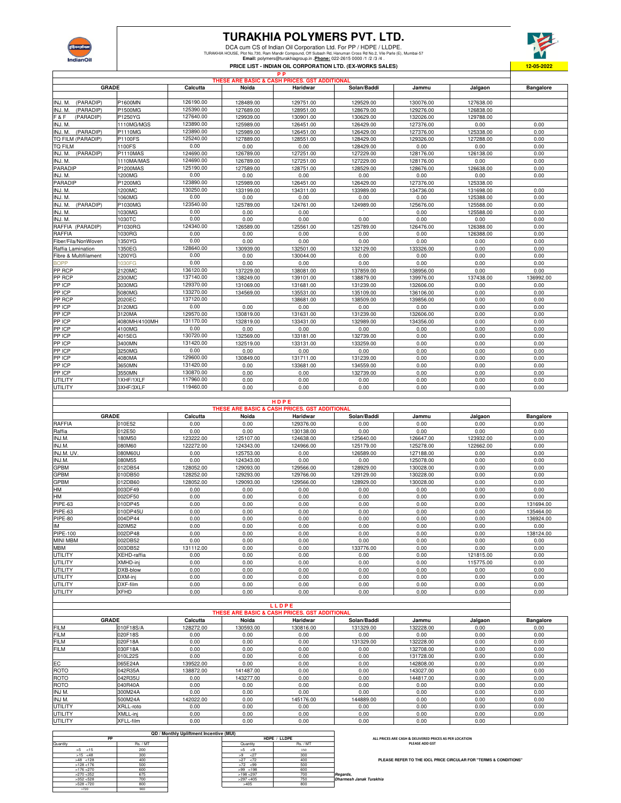

## **TURAKHIA POLYMERS PVT. LTD.**

DCA cum CS of Indian Oil Corporation Ltd. For PP / HDPE / LLDPE.<br>TURAKHIA HOUSE, Plot No.730, Ram Mandr Compound, Oil Subash Rd, Hamuman Cross Rel No.2, Wie Parie (E), Mumbai-57<br>Email: polymers@turakhiagroup.in . <u>Phone:</u>



|                       |                 |           |           | THESE ARE BASIC & CASH PRICES. GST ADDITIONAL |             |           |           |                  |  |  |  |  |  |
|-----------------------|-----------------|-----------|-----------|-----------------------------------------------|-------------|-----------|-----------|------------------|--|--|--|--|--|
| <b>GRADE</b>          |                 | Calcutta  | Noida     | Haridwar                                      | Solan/Baddi | Jammu     | Jalgaon   | <b>Bangalore</b> |  |  |  |  |  |
|                       |                 |           |           |                                               |             |           |           |                  |  |  |  |  |  |
| (PARADIP)<br>INJ. M.  | P1600MN         | 126190.00 | 128489.00 | 129751.00                                     | 129529.00   | 130076.00 | 127638.00 |                  |  |  |  |  |  |
| (PARADIP)<br>INJ. M.  | <b>P1500MG</b>  | 125390.00 | 127689.00 | 128951.00                                     | 128679.00   | 129276.00 | 126838.00 |                  |  |  |  |  |  |
| F&F<br>(PARADIP)      | P1250YG         | 127640.00 | 129939.00 | 130901.00                                     | 130629.00   | 132026.00 | 129788.00 |                  |  |  |  |  |  |
| INJ. M.               | 1110MG/MGS      | 123890.00 | 125989.00 | 126451.00                                     | 126429.00   | 127376.00 | 0.00      | 0.00             |  |  |  |  |  |
| (PARADIP)<br>INJ. M.  | P1110MG         | 123890.00 | 125989.00 | 126451.00                                     | 126429.00   | 127376.00 | 125338.00 | 0.00             |  |  |  |  |  |
| TQ FILM (PARADIP)     | P1100FS         | 125240.00 | 127889.00 | 128551.00                                     | 128429.00   | 129326.00 | 127288.00 | 0.00             |  |  |  |  |  |
| <b>TQ FILM</b>        | 1100FS          | 0.00      | 0.00      | 0.00                                          | 128429.00   | 0.00      | 0.00      | 0.00             |  |  |  |  |  |
| INJ. M. (PARADIP)     | <b>P1110MAS</b> | 124690.00 | 126789.00 | 127251.00                                     | 127229.00   | 128176.00 | 126138.00 | 0.00             |  |  |  |  |  |
| INJ. M.               | 1110MA/MAS      | 124690.00 | 126789.00 | 127251.00                                     | 127229.00   | 128176.00 | 0.00      | 0.00             |  |  |  |  |  |
| PARADIP               | <b>P1200MAS</b> | 125190.00 | 127589.00 | 128751.00                                     | 128529.00   | 128676.00 | 126638.00 | 0.00             |  |  |  |  |  |
| INJ. M.               | 1200MG          | 0.00      | 0.00      | 0.00                                          | 0.00        | 0.00      | 0.00      | 0.00             |  |  |  |  |  |
| PARADIP               | P1200MG         | 123890.00 | 125989.00 | 126451.00                                     | 126429.00   | 127376.00 | 125338.00 |                  |  |  |  |  |  |
| INJ. M.               | 1200MC          | 130250.00 | 133199.00 | 134311.00                                     | 133989.00   | 134736.00 | 131698.00 | 0.00             |  |  |  |  |  |
| INJ. M.               | 1060MG          | 0.00      | 0.00      | 0.00                                          | 0.00        | 0.00      | 125388.00 | 0.00             |  |  |  |  |  |
| (PARADIP)<br>INJ. M.  | P1030MG         | 123540.00 | 125789.00 | 124761.00                                     | 124989.00   | 125676.00 | 125588.00 | 0.00             |  |  |  |  |  |
| INJ. M.               | 1030MG          | 0.00      | 0.00      | 0.00                                          |             | 0.00      | 125588.00 | 0.00             |  |  |  |  |  |
| INJ. M.               | 1030TC          | 0.00      | 0.00      | 0.00                                          | 0.00        | 0.00      | 0.00      | 0.00             |  |  |  |  |  |
| RAFFIA (PARADIP)      | P1030RG         | 124340.00 | 126589.00 | 125561.00                                     | 125789.00   | 126476.00 | 126388.00 | 0.00             |  |  |  |  |  |
| RAFFIA                | 1030RG          | 0.00      | 0.00      | 0.00                                          | 0.00        | 0.00      | 126388.00 | 0.00             |  |  |  |  |  |
| Fiber/Fila/NonWoven   | 1350YG          | 0.00      | 0.00      | 0.00                                          | 0.00        | 0.00      | 0.00      | 0.00             |  |  |  |  |  |
| Raffia Lamination     | 1350EG          | 128640.00 | 130939.00 | 132501.00                                     | 132129.00   | 133326.00 | 0.00      | 0.00             |  |  |  |  |  |
| Fibre & Multifilament | 1200YG          | 0.00      | 0.00      | 130044.00                                     | 0.00        | 0.00      | 0.00      | 0.00             |  |  |  |  |  |
| <b>BOPP</b>           | 1030FG          | 0.00      | 0.00      | 0.00                                          | 0.00        | 0.00      | 0.00      | 0.00             |  |  |  |  |  |
| PP RCP                | 2120MC          | 136120.00 | 137229.00 | 138081.00                                     | 137859.00   | 138956.00 | 0.00      | 0.00             |  |  |  |  |  |
| PP RCP                | 2300MC          | 137140.00 | 138249.00 | 139101.00                                     | 138879.00   | 139976.00 | 137438.00 | 136992.00        |  |  |  |  |  |
| PP ICP                | 3030MG          | 129370.00 | 131069.00 | 131681.00                                     | 131239.00   | 132606.00 | 0.00      | 0.00             |  |  |  |  |  |
| PP ICP                | 5080MG          | 133270.00 | 134569.00 | 135531.00                                     | 135109.00   | 136106.00 | 0.00      | 0.00             |  |  |  |  |  |
| PP RCP                | 2020EC          | 137120.00 |           | 138681.00                                     | 138509.00   | 139856.00 | 0.00      | 0.00             |  |  |  |  |  |
| PP ICP                | 3120MG          | 0.00      | 0.00      | 0.00                                          | 0.00        | 0.00      | 0.00      | 0.00             |  |  |  |  |  |
| PP ICP                | 3120MA          | 129570.00 | 130819.00 | 131631.00                                     | 131239.00   | 132606.00 | 0.00      | 0.00             |  |  |  |  |  |
| PP ICP                | 4080MH/4100MH   | 131170.00 | 132819.00 | 133431.00                                     | 132989.00   | 134356.00 | 0.00      | 0.00             |  |  |  |  |  |
| PP ICP                | 4100MG          | 0.00      | 0.00      | 0.00                                          | 0.00        | 0.00      | 0.00      | 0.00             |  |  |  |  |  |
| PP ICP                | 4015EG          | 130720.00 | 132569.00 | 133181.00                                     | 132739.00   | 0.00      | 0.00      | 0.00             |  |  |  |  |  |
| PP ICP                | 3400MN          | 131420.00 | 132519.00 | 133131.00                                     | 133259.00   | 0.00      | 0.00      | 0.00             |  |  |  |  |  |
| PP ICP                | 3250MG          | 0.00      | 0.00      | 0.00                                          | 0.00        | 0.00      | 0.00      | 0.00             |  |  |  |  |  |
| PP ICP                | 4080MA          | 129600.00 | 130849.00 | 131711.00                                     | 131239.00   | 0.00      | 0.00      | 0.00             |  |  |  |  |  |
| PP ICP                | 3650MN          | 131420.00 | 0.00      | 133681.00                                     | 134559.00   | 0.00      | 0.00      | 0.00             |  |  |  |  |  |
| PP ICP                | 3550MN          | 130870.00 | 0.00      | 0.00                                          | 132739.00   | 0.00      | 0.00      | 0.00             |  |  |  |  |  |
| UTILITY               | 1XHF/1XLF       | 117960.00 | 0.00      | 0.00                                          | 0.00        | 0.00      | 0.00      | 0.00             |  |  |  |  |  |
| <b>UTILITY</b>        | 3XHF/3XLF       | 119460.00 | 0.00      | 0.00                                          | 0.00        | 0.00      | 0.00      | 0.00             |  |  |  |  |  |
|                       |                 |           |           |                                               |             |           |           |                  |  |  |  |  |  |

|                 |              |           |           | HDPE                                          |             |           |           |                  |
|-----------------|--------------|-----------|-----------|-----------------------------------------------|-------------|-----------|-----------|------------------|
|                 |              |           |           | THESE ARE BASIC & CASH PRICES. GST ADDITIONAL |             |           |           |                  |
|                 | <b>GRADE</b> | Calcutta  | Noida     | Haridwar                                      | Solan/Baddi | Jammu     | Jalgaon   | <b>Bangalore</b> |
| <b>RAFFIA</b>   | 010E52       | 0.00      | 0.00      | 129376.00                                     | 0.00        | 0.00      | 0.00      | 0.00             |
| Raffia          | 012E50       | 0.00      | 0.00      | 130138.00                                     | 0.00        | 0.00      | 0.00      | 0.00             |
| INJ.M.          | 180M50       | 123222.00 | 125107.00 | 124638.00                                     | 125640.00   | 126647.00 | 123932.00 | 0.00             |
| INJ.M.          | 080M60       | 122272.00 | 124343.00 | 124966.00                                     | 125179.00   | 125278.00 | 122662.00 | 0.00             |
| INJ.M. UV.      | 080M60U      | 0.00      | 125753.00 | 0.00                                          | 126589.00   | 127188.00 | 0.00      | 0.00             |
| INJ.M.          | 080M55       | 0.00      | 124343.00 | 0.00                                          | 0.00        | 125078.00 | 0.00      | 0.00             |
| GPBM            | 012DB54      | 128052.00 | 129093.00 | 129566.00                                     | 128929.00   | 130028.00 | 0.00      | 0.00             |
| <b>GPBM</b>     | 010DB50      | 128252.00 | 129293.00 | 129766.00                                     | 129129.00   | 130228.00 | 0.00      | 0.00             |
| GPBM            | 012DB60      | 128052.00 | 129093.00 | 129566.00                                     | 128929.00   | 130028.00 | 0.00      | 0.00             |
| HM              | 003DF49      | 0.00      | 0.00      | 0.00                                          | 0.00        | 0.00      | 0.00      | 0.00             |
| HM              | 002DF50      | 0.00      | 0.00      | 0.00                                          | 0.00        | 0.00      | 0.00      | 0.00             |
| PIPE-63         | 010DP45      | 0.00      | 0.00      | 0.00                                          | 0.00        | 0.00      | 0.00      | 131694.00        |
| PIPE-63         | 010DP45U     | 0.00      | 0.00      | 0.00                                          | 0.00        | 0.00      | 0.00      | 135464.00        |
| PIPE-80         | 004DP44      | 0.00      | 0.00      | 0.00                                          | 0.00        | 0.00      | 0.00      | 136924.00        |
| IM              | 020M52       | 0.00      | 0.00      | 0.00                                          | 0.00        | 0.00      | 0.00      | 0.00             |
| PIPE-100        | 002DP48      | 0.00      | 0.00      | 0.00                                          | 0.00        | 0.00      | 0.00      | 138124.00        |
| <b>MINI MBM</b> | 002DB52      | 0.00      | 0.00      | 0.00                                          | 0.00        | 0.00      | 0.00      | 0.00             |
| <b>MBM</b>      | 003DB52      | 131112.00 | 0.00      | 0.00                                          | 133776.00   | 0.00      | 0.00      | 0.00             |
| <b>UTILITY</b>  | XEHD-raffia  | 0.00      | 0.00      | 0.00                                          | 0.00        | 0.00      | 121815.00 | 0.00             |
| <b>UTILITY</b>  | XMHD-inj     | 0.00      | 0.00      | 0.00                                          | 0.00        | 0.00      | 115775.00 | 0.00             |
| UTILITY         | DXB-blow     | 0.00      | 0.00      | 0.00                                          | 0.00        | 0.00      | 0.00      | 0.00             |
| UTILITY         | DXM-ini      | 0.00      | 0.00      | 0.00                                          | 0.00        | 0.00      | 0.00      | 0.00             |
| <b>UTILITY</b>  | DXF-film     | 0.00      | 0.00      | 0.00                                          | 0.00        | 0.00      | 0.00      | 0.00             |
| UTILITY         | <b>XFHD</b>  | 0.00      | 0.00      | 0.00                                          | 0.00        | 0.00      | 0.00      | 0.00             |
|                 |              |           |           |                                               |             |           |           |                  |

|                |              |           |           | LLDPE                                         |             |           |         |                  |
|----------------|--------------|-----------|-----------|-----------------------------------------------|-------------|-----------|---------|------------------|
|                |              |           |           | THESE ARE BASIC & CASH PRICES, GST ADDITIONAL |             |           |         |                  |
|                | <b>GRADE</b> | Calcutta  | Noida     | Haridwar                                      | Solan/Baddi | Jammu     | Jalgaon | <b>Bangalore</b> |
| FILM           | 010F18S/A    | 128272.00 | 130593.00 | 130816.00                                     | 131329.00   | 132228.00 | 0.00    | 0.00             |
| <b>FILM</b>    | 020F18S      | 0.00      | 0.00      | 0.00                                          | 0.00        | 0.00      | 0.00    | 0.00             |
| <b>FILM</b>    | 020F18A      | 0.00      | 0.00      | 0.00                                          | 131329.00   | 132228.00 | 0.00    | 0.00             |
| <b>FILM</b>    | 030F18A      | 0.00      | 0.00      | 0.00                                          | 0.00        | 132708.00 | 0.00    | 0.00             |
|                | 010L22S      | 0.00      | 0.00      | 0.00                                          | 0.00        | 131728.00 | 0.00    | 0.00             |
| EC             | 065E24A      | 139522.00 | 0.00      | 0.00                                          | 0.00        | 142808.00 | 0.00    | 0.00             |
| ROTO           | 042R35A      | 138872.00 | 141487.00 | 0.00                                          | 0.00        | 143027.00 | 0.00    | 0.00             |
| ROTO           | 042R35U      | 0.00      | 143277.00 | 0.00                                          | 0.00        | 144817.00 | 0.00    | 0.00             |
| ROTO           | 040R40A      | 0.00      | 0.00      | 0.00                                          | 0.00        | 0.00      | 0.00    | 0.00             |
| INJ M.         | 300M24A      | 0.00      | 0.00      | 0.00                                          | 0.00        | 0.00      | 0.00    | 0.00             |
| INJ M.         | 500M24A      | 142022.00 | 0.00      | 145176.00                                     | 144889.00   | 0.00      | 0.00    | 0.00             |
| <b>UTILITY</b> | XRLL-roto    | 0.00      | 0.00      | 0.00                                          | 0.00        | 0.00      | 0.00    | 0.00             |
| UTILITY        | XMLL-ini     | 0.00      | 0.00      | 0.00                                          | 0.00        | 0.00      | 0.00    | 0.00             |
| UTILITY        | XFLL-film    | 0.00      | 0.00      | 0.00                                          | 0.00        | 0.00      | 0.00    |                  |

|                         |                 |              | <b>QD</b> / Monthly Upliftment Incentive (MUI) |               |              |
|-------------------------|-----------------|--------------|------------------------------------------------|---------------|--------------|
| ALL PR                  | HDPE / LLDPE    |              |                                                | PP            |              |
|                         | <b>Rs. / MT</b> | Quantity     |                                                | <b>Rs./MT</b> | Quantity     |
|                         | 150             | >5<br>- <9   |                                                | 200           | $>5$ <15     |
|                         | 300             | 27<br>>9     |                                                | 300           | $>15$ <48    |
| <b>PL</b>               | 400             | $>27$ <72    |                                                | 400           | $>48$ < 128  |
|                         | 500             | $>72$ <99    |                                                | 500           | $>128$ < 176 |
|                         | 600             | $>99$ < 198  |                                                | 600           | $>176$ < 270 |
| Regards,                | 700             | $>198$ < 297 |                                                | 675           | >270 < 352   |
| Dharmesh Janak Turakhia | 750             | $>297$ < 405 |                                                | 700           | >352 < 528   |
|                         | 800             | >405         |                                                | 800           | >528 < 720   |
|                         |                 |              |                                                | 900           | >720         |

**ALL PRICES ARE CASH & DELIVERED PRICES AS PER LOCATION PLEASE ADD GST**

**PLEASE REFER TO THE IOCL PRICE CIRCULAR FOR "TERMS & CONDITIONS"**